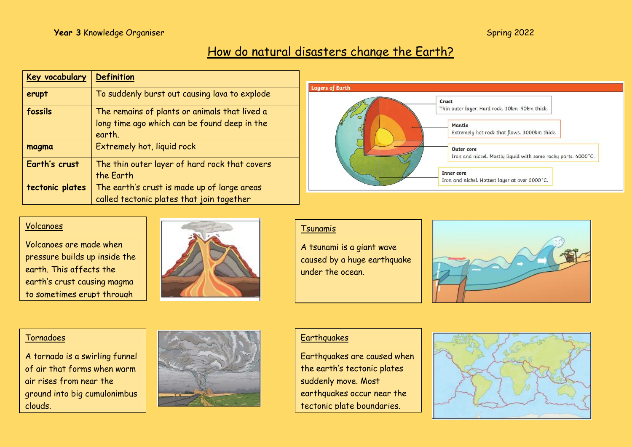# How do natural disasters change the Earth?

| Key vocabulary  | <b>Definition</b>                             |  |
|-----------------|-----------------------------------------------|--|
| erupt           | To suddenly burst out causing lava to explode |  |
| fossils         | The remains of plants or animals that lived a |  |
|                 | long time ago which can be found deep in the  |  |
|                 | earth.                                        |  |
| magma           | Extremely hot, liquid rock                    |  |
| Earth's crust   | The thin outer layer of hard rock that covers |  |
|                 | the Earth                                     |  |
| tectonic plates | The earth's crust is made up of large areas   |  |
|                 | called tectonic plates that join together     |  |



#### Volcanoes

Volcanoes are made when pressure builds up inside the earth. This affects the earth's crust causing magma to sometimes erupt through



#### Tsunamis

A tsunami is a giant wave caused by a huge earthquake under the ocean.



#### Tornadoes

A tornado is a swirling funnel of air that forms when warm air rises from near the ground into big cumulonimbus clouds.



#### **Earthquakes**

Earthquakes are caused when the earth's tectonic plates suddenly move. Most earthquakes occur near the tectonic plate boundaries.